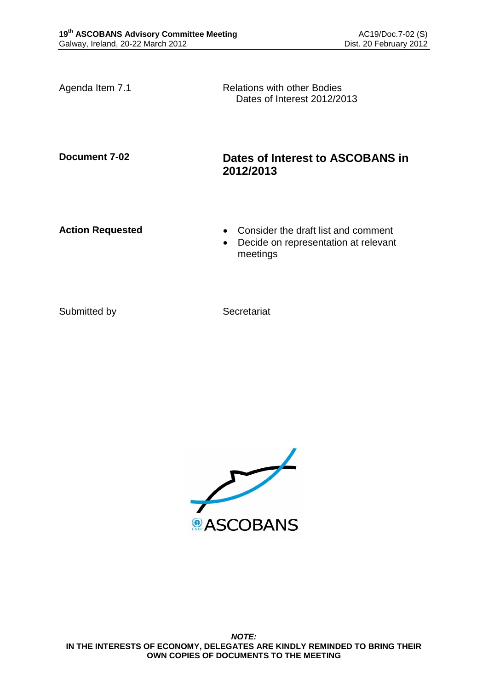Agenda Item 7.1 Relations with other Bodies Dates of Interest 2012/2013

## **Document 7-02 Dates of Interest to ASCOBANS in 2012/2013**

- **Action Requested Consider the draft list and comment** 
	- Decide on representation at relevant meetings

Submitted by Secretariat

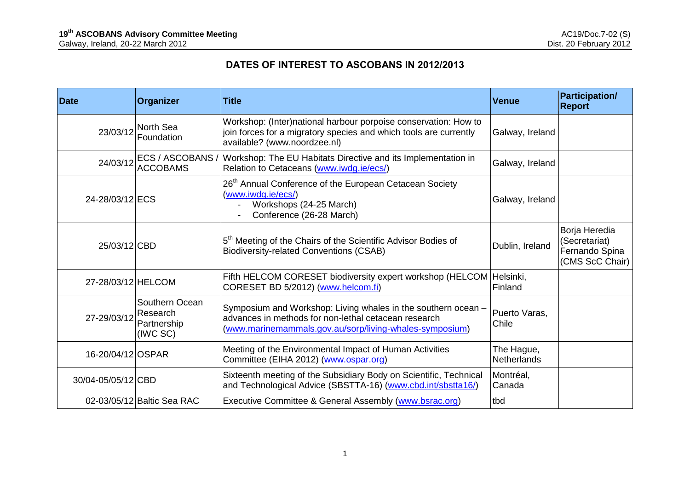## **DATES OF INTEREST TO ASCOBANS IN 2012/2013**

| <b>Date</b>        | Organizer                                             | <b>Title</b>                                                                                                                                                                     | <b>Venue</b>                     | <b>Participation/</b><br><b>Report</b>                              |
|--------------------|-------------------------------------------------------|----------------------------------------------------------------------------------------------------------------------------------------------------------------------------------|----------------------------------|---------------------------------------------------------------------|
| 23/03/12           | North Sea<br>Foundation                               | Workshop: (Inter)national harbour porpoise conservation: How to<br>join forces for a migratory species and which tools are currently<br>available? (www.noordzee.nl)             | Galway, Ireland                  |                                                                     |
| 24/03/12           | ECS / ASCOBANS /<br><b>ACCOBAMS</b>                   | Workshop: The EU Habitats Directive and its Implementation in<br>Relation to Cetaceans (www.iwdg.ie/ecs/)                                                                        | Galway, Ireland                  |                                                                     |
| 24-28/03/12 ECS    |                                                       | 26 <sup>th</sup> Annual Conference of the European Cetacean Society<br>(www.iwdg.ie/ecs/)<br>Workshops (24-25 March)<br>Conference (26-28 March)                                 | Galway, Ireland                  |                                                                     |
| 25/03/12 CBD       |                                                       | 5 <sup>th</sup> Meeting of the Chairs of the Scientific Advisor Bodies of<br><b>Biodiversity-related Conventions (CSAB)</b>                                                      | Dublin, Ireland                  | Borja Heredia<br>(Secretariat)<br>Fernando Spina<br>(CMS ScC Chair) |
| 27-28/03/12 HELCOM |                                                       | Fifth HELCOM CORESET biodiversity expert workshop (HELCOM<br>CORESET BD 5/2012) (www.helcom.fi)                                                                                  | Helsinki,<br>Finland             |                                                                     |
| 27-29/03/12        | Southern Ocean<br>Research<br>Partnership<br>(IWC SC) | Symposium and Workshop: Living whales in the southern ocean -<br>advances in methods for non-lethal cetacean research<br>(www.marinemammals.gov.au/sorp/living-whales-symposium) | Puerto Varas,<br>Chile           |                                                                     |
| 16-20/04/12 OSPAR  |                                                       | Meeting of the Environmental Impact of Human Activities<br>Committee (EIHA 2012) (www.ospar.org)                                                                                 | The Hague,<br><b>Netherlands</b> |                                                                     |
| 30/04-05/05/12 CBD |                                                       | Sixteenth meeting of the Subsidiary Body on Scientific, Technical<br>and Technological Advice (SBSTTA-16) (www.cbd.int/sbstta16/)                                                | Montréal,<br>Canada              |                                                                     |
|                    | 02-03/05/12 Baltic Sea RAC                            | Executive Committee & General Assembly (www.bsrac.org)                                                                                                                           | tbd                              |                                                                     |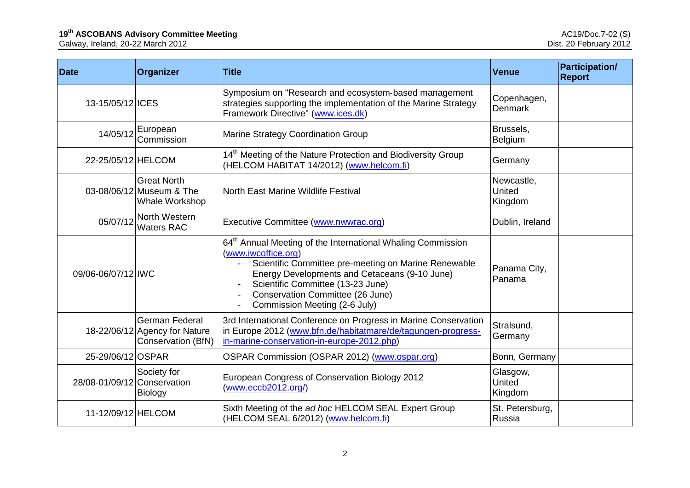## **19<sup>th</sup> ASCOBANS Advisory Committee Meeting and and analysis of the set of the set of the AC19/Doc.7-02 (S)**

Galway, Ireland, 20-22 March 2012 Dist. 20 February 2012

| <b>Date</b>                 | Organizer                                                             | <b>Title</b>                                                                                                                                                                                                                                                                                                      | <b>Venue</b>                    | <b>Participation/</b><br><b>Report</b> |
|-----------------------------|-----------------------------------------------------------------------|-------------------------------------------------------------------------------------------------------------------------------------------------------------------------------------------------------------------------------------------------------------------------------------------------------------------|---------------------------------|----------------------------------------|
| 13-15/05/12 ICES            |                                                                       | Symposium on "Research and ecosystem-based management<br>strategies supporting the implementation of the Marine Strategy<br>Framework Directive" (www.ices.dk)                                                                                                                                                    | Copenhagen,<br><b>Denmark</b>   |                                        |
|                             | $14/05/12$ European<br>Commission                                     | Marine Strategy Coordination Group                                                                                                                                                                                                                                                                                | Brussels,<br>Belgium            |                                        |
| 22-25/05/12 HELCOM          |                                                                       | 14 <sup>th</sup> Meeting of the Nature Protection and Biodiversity Group<br>(HELCOM HABITAT 14/2012) (www.helcom.fi)                                                                                                                                                                                              | Germany                         |                                        |
|                             | <b>Great North</b><br>03-08/06/12 Museum & The<br>Whale Workshop      | North East Marine Wildlife Festival                                                                                                                                                                                                                                                                               | Newcastle,<br>United<br>Kingdom |                                        |
| 05/07/12                    | North Western<br><b>Waters RAC</b>                                    | Executive Committee (www.nwwrac.org)                                                                                                                                                                                                                                                                              | Dublin, Ireland                 |                                        |
| 09/06-06/07/12 IWC          |                                                                       | 64 <sup>th</sup> Annual Meeting of the International Whaling Commission<br>(www.iwcoffice.org)<br>Scientific Committee pre-meeting on Marine Renewable<br>Energy Developments and Cetaceans (9-10 June)<br>Scientific Committee (13-23 June)<br>Conservation Committee (26 June)<br>Commission Meeting (2-6 July) | Panama City,<br>Panama          |                                        |
|                             | German Federal<br>18-22/06/12 Agency for Nature<br>Conservation (BfN) | 3rd International Conference on Progress in Marine Conservation<br>in Europe 2012 (www.bfn.de/habitatmare/de/tagungen-progress-<br>in-marine-conservation-in-europe-2012.php)                                                                                                                                     | Stralsund,<br>Germany           |                                        |
| 25-29/06/12 OSPAR           |                                                                       | OSPAR Commission (OSPAR 2012) (www.ospar.org)                                                                                                                                                                                                                                                                     | Bonn, Germany                   |                                        |
| 28/08-01/09/12 Conservation | Society for<br><b>Biology</b>                                         | European Congress of Conservation Biology 2012<br>(www.eccb2012.org/)                                                                                                                                                                                                                                             | Glasgow,<br>United<br>Kingdom   |                                        |
| 11-12/09/12 HELCOM          |                                                                       | Sixth Meeting of the ad hoc HELCOM SEAL Expert Group<br>(HELCOM SEAL 6/2012) (www.helcom.fi)                                                                                                                                                                                                                      | St. Petersburg,<br>Russia       |                                        |